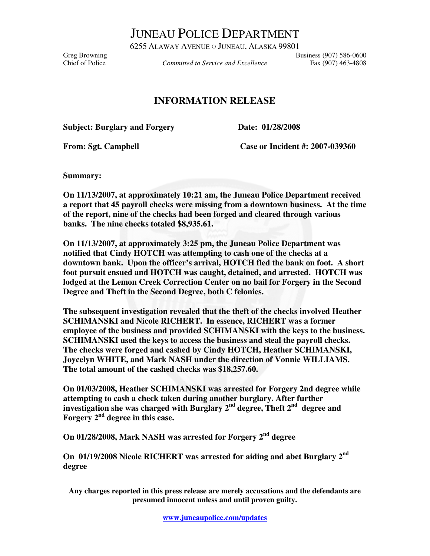JUNEAU POLICE DEPARTMENT

6255 ALAWAY AVENUE ○ JUNEAU, ALASKA 99801 Greg Browning<br>Committed to Service and Excellence Fax (907) 586-0600<br>Fax (907) 463-4808

Committed to Service and Excellence Fax (907) 463-4808

## **INFORMATION RELEASE**

**Subject: Burglary and Forgery Date: 01/28/2008** 

From: Sgt. Campbell **Case or Incident #: 2007-039360** 

**Summary:** 

**On 11/13/2007, at approximately 10:21 am, the Juneau Police Department received a report that 45 payroll checks were missing from a downtown business. At the time of the report, nine of the checks had been forged and cleared through various banks. The nine checks totaled \$8,935.61.** 

**On 11/13/2007, at approximately 3:25 pm, the Juneau Police Department was notified that Cindy HOTCH was attempting to cash one of the checks at a downtown bank. Upon the officer's arrival, HOTCH fled the bank on foot. A short foot pursuit ensued and HOTCH was caught, detained, and arrested. HOTCH was lodged at the Lemon Creek Correction Center on no bail for Forgery in the Second Degree and Theft in the Second Degree, both C felonies.** 

**The subsequent investigation revealed that the theft of the checks involved Heather SCHIMANSKI and Nicole RICHERT. In essence, RICHERT was a former employee of the business and provided SCHIMANSKI with the keys to the business. SCHIMANSKI used the keys to access the business and steal the payroll checks. The checks were forged and cashed by Cindy HOTCH, Heather SCHIMANSKI, Joycelyn WHITE, and Mark NASH under the direction of Vonnie WILLIAMS. The total amount of the cashed checks was \$18,257.60.** 

**On 01/03/2008, Heather SCHIMANSKI was arrested for Forgery 2nd degree while attempting to cash a check taken during another burglary. After further investigation she was charged with Burglary 2nd degree, Theft 2nd degree and Forgery 2nd degree in this case.** 

**On 01/28/2008, Mark NASH was arrested for Forgery 2nd degree** 

**On 01/19/2008 Nicole RICHERT was arrested for aiding and abet Burglary 2nd degree** 

**Any charges reported in this press release are merely accusations and the defendants are presumed innocent unless and until proven guilty.**